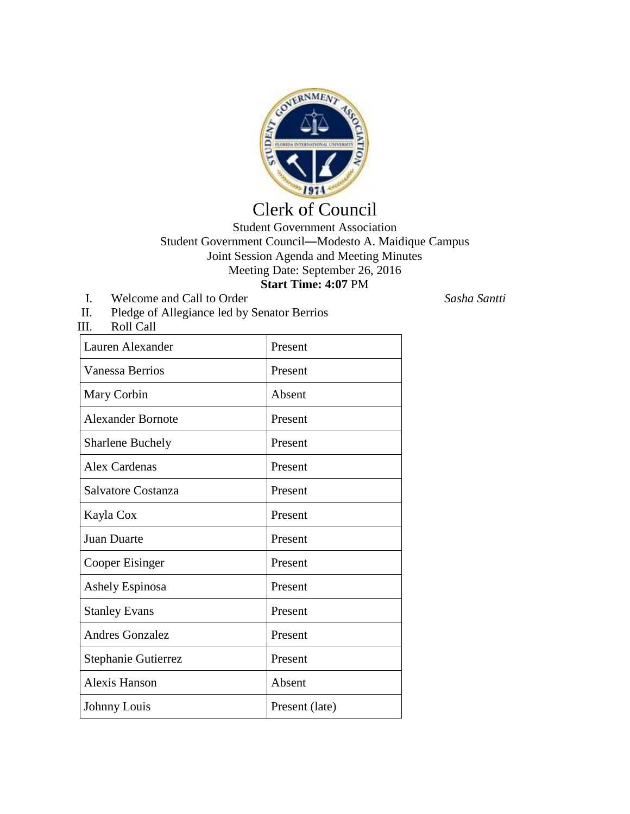

# Clerk of Council

## Student Government Association Student Government Council—Modesto A. Maidique Campus Joint Session Agenda and Meeting Minutes Meeting Date: September 26, 2016 **Start Time: 4:07** PM

I. Welcome and Call to Order *Sasha Santti*

III. Roll Call

II. Pledge of Allegiance led by Senator Berrios

| Lauren Alexander         | Present        |
|--------------------------|----------------|
| <b>Vanessa Berrios</b>   | Present        |
| Mary Corbin              | Absent         |
| <b>Alexander Bornote</b> | Present        |
| <b>Sharlene Buchely</b>  | Present        |
| Alex Cardenas            | Present        |
| Salvatore Costanza       | Present        |
| Kayla Cox                | Present        |
| <b>Juan Duarte</b>       | Present        |
| Cooper Eisinger          | Present        |
| <b>Ashely Espinosa</b>   | Present        |
| <b>Stanley Evans</b>     | Present        |
| <b>Andres Gonzalez</b>   | Present        |
| Stephanie Gutierrez      | Present        |
| Alexis Hanson            | Absent         |
| Johnny Louis             | Present (late) |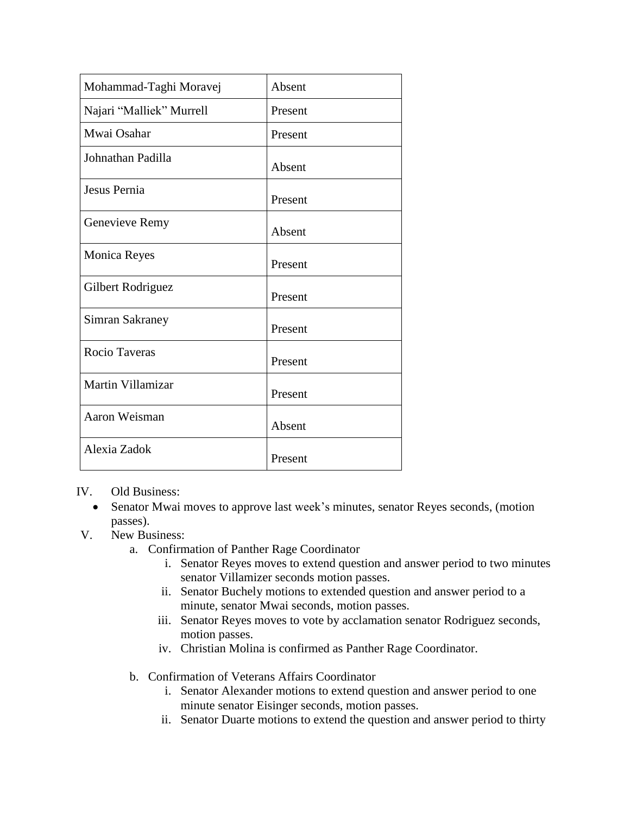| Mohammad-Taghi Moravej   | Absent  |
|--------------------------|---------|
| Najari "Malliek" Murrell | Present |
| Mwai Osahar              | Present |
| Johnathan Padilla        | Absent  |
| Jesus Pernia             | Present |
| Genevieve Remy           | Absent  |
| <b>Monica Reyes</b>      | Present |
| Gilbert Rodriguez        | Present |
| Simran Sakraney          | Present |
| Rocio Taveras            | Present |
| Martin Villamizar        | Present |
| Aaron Weisman            | Absent  |
| Alexia Zadok             | Present |

# IV. Old Business:

- Senator Mwai moves to approve last week's minutes, senator Reyes seconds, (motion passes).
- V. New Business:
	- a. Confirmation of Panther Rage Coordinator
		- i. Senator Reyes moves to extend question and answer period to two minutes senator Villamizer seconds motion passes.
		- ii. Senator Buchely motions to extended question and answer period to a minute, senator Mwai seconds, motion passes.
		- iii. Senator Reyes moves to vote by acclamation senator Rodriguez seconds, motion passes.
		- iv. Christian Molina is confirmed as Panther Rage Coordinator.
	- b. Confirmation of Veterans Affairs Coordinator
		- i. Senator Alexander motions to extend question and answer period to one minute senator Eisinger seconds, motion passes.
		- ii. Senator Duarte motions to extend the question and answer period to thirty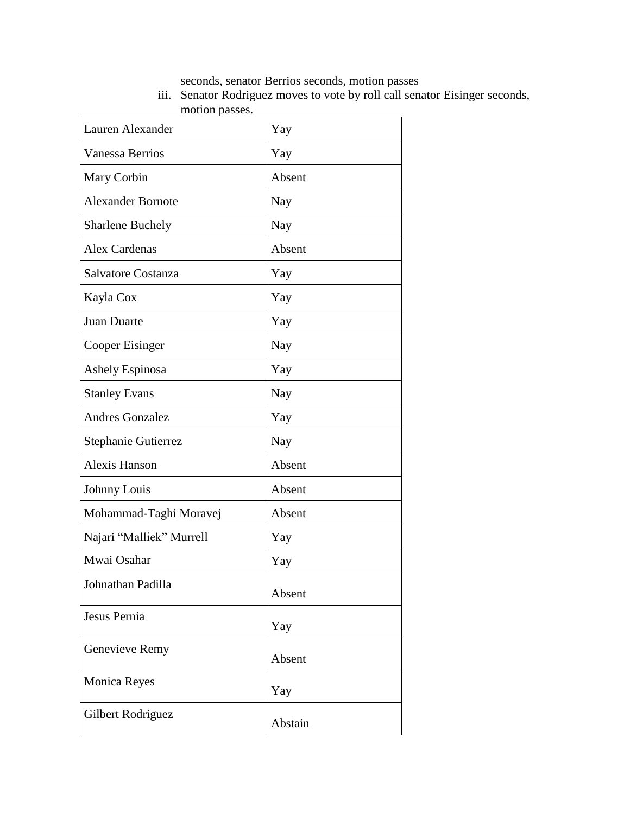seconds, senator Berrios seconds, motion passes

iii. Senator Rodriguez moves to vote by roll call senator Eisinger seconds, motion passes.

| Lauren Alexander         | Yay     |
|--------------------------|---------|
| <b>Vanessa Berrios</b>   | Yay     |
| Mary Corbin              | Absent  |
| <b>Alexander Bornote</b> | Nay     |
| <b>Sharlene Buchely</b>  | Nay     |
| <b>Alex Cardenas</b>     | Absent  |
| Salvatore Costanza       | Yay     |
| Kayla Cox                | Yay     |
| Juan Duarte              | Yay     |
| Cooper Eisinger          | Nay     |
| Ashely Espinosa          | Yay     |
| <b>Stanley Evans</b>     | Nay     |
| <b>Andres Gonzalez</b>   | Yay     |
| Stephanie Gutierrez      | Nay     |
| <b>Alexis Hanson</b>     | Absent  |
| Johnny Louis             | Absent  |
| Mohammad-Taghi Moravej   | Absent  |
| Najari "Malliek" Murrell | Yay     |
| Mwai Osahar              | Yay     |
| Johnathan Padilla        | Absent  |
| Jesus Pernia             | Yay     |
| Genevieve Remy           | Absent  |
| <b>Monica Reyes</b>      | Yay     |
| Gilbert Rodriguez        | Abstain |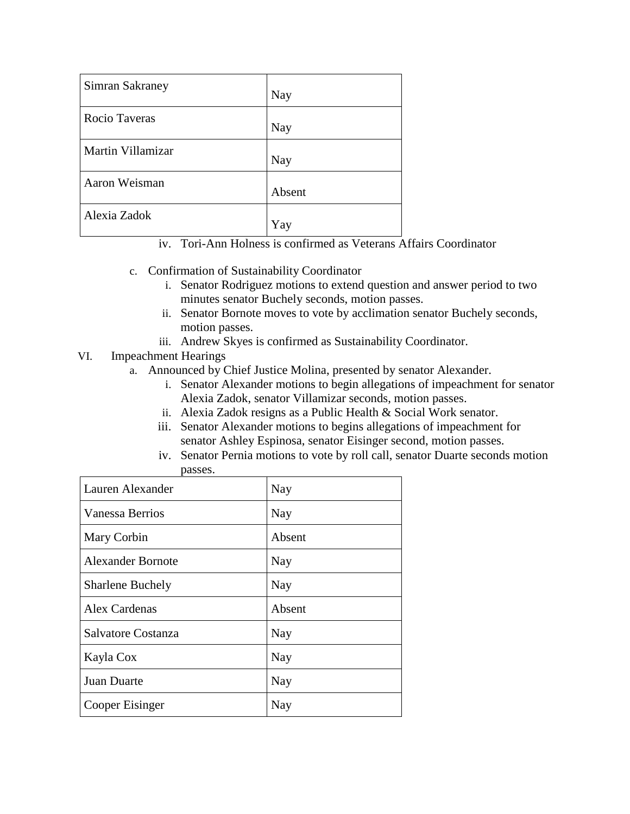| <b>Simran Sakraney</b> | Nay    |
|------------------------|--------|
| Rocio Taveras          | Nay    |
| Martin Villamizar      | Nay    |
| Aaron Weisman          | Absent |
| Alexia Zadok           | Yay    |

iv. Tori-Ann Holness is confirmed as Veterans Affairs Coordinator

- c. Confirmation of Sustainability Coordinator
	- i. Senator Rodriguez motions to extend question and answer period to two minutes senator Buchely seconds, motion passes.
	- ii. Senator Bornote moves to vote by acclimation senator Buchely seconds, motion passes.
	- iii. Andrew Skyes is confirmed as Sustainability Coordinator.

# VI. Impeachment Hearings

- a. Announced by Chief Justice Molina, presented by senator Alexander.
	- i. Senator Alexander motions to begin allegations of impeachment for senator Alexia Zadok, senator Villamizar seconds, motion passes.
	- ii. Alexia Zadok resigns as a Public Health & Social Work senator.
	- iii. Senator Alexander motions to begins allegations of impeachment for senator Ashley Espinosa, senator Eisinger second, motion passes.
	- iv. Senator Pernia motions to vote by roll call, senator Duarte seconds motion passes.

| Lauren Alexander         | Nay    |
|--------------------------|--------|
| Vanessa Berrios          | Nay    |
| Mary Corbin              | Absent |
| <b>Alexander Bornote</b> | Nay    |
| <b>Sharlene Buchely</b>  | Nay    |
| <b>Alex Cardenas</b>     | Absent |
| Salvatore Costanza       | Nay    |
| Kayla Cox                | Nay    |
| Juan Duarte              | Nay    |
| Cooper Eisinger          | Nay    |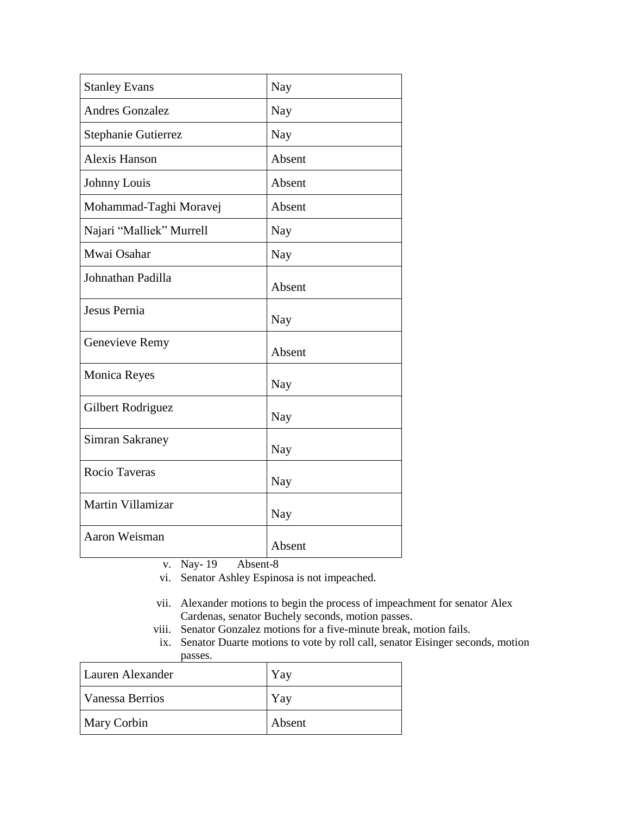| <b>Stanley Evans</b>     | Nay    |
|--------------------------|--------|
| <b>Andres Gonzalez</b>   | Nay    |
| Stephanie Gutierrez      | Nay    |
| <b>Alexis Hanson</b>     | Absent |
| Johnny Louis             | Absent |
| Mohammad-Taghi Moravej   | Absent |
| Najari "Malliek" Murrell | Nay    |
| Mwai Osahar              | Nay    |
| Johnathan Padilla        | Absent |
| Jesus Pernia             | Nay    |
| Genevieve Remy           | Absent |
| <b>Monica Reyes</b>      | Nay    |
| Gilbert Rodriguez        | Nay    |
| Simran Sakraney          | Nay    |
| Rocio Taveras            | Nay    |
| Martin Villamizar        | Nay    |
| Aaron Weisman            | Absent |

v. Nay- 19 Absent-8

vi. Senator Ashley Espinosa is not impeached.

- vii. Alexander motions to begin the process of impeachment for senator Alex Cardenas, senator Buchely seconds, motion passes.
- viii. Senator Gonzalez motions for a five-minute break, motion fails.
- ix. Senator Duarte motions to vote by roll call, senator Eisinger seconds, motion passes.

| Lauren Alexander   | Yay    |
|--------------------|--------|
| Vanessa Berrios    | Yay    |
| <b>Mary Corbin</b> | Absent |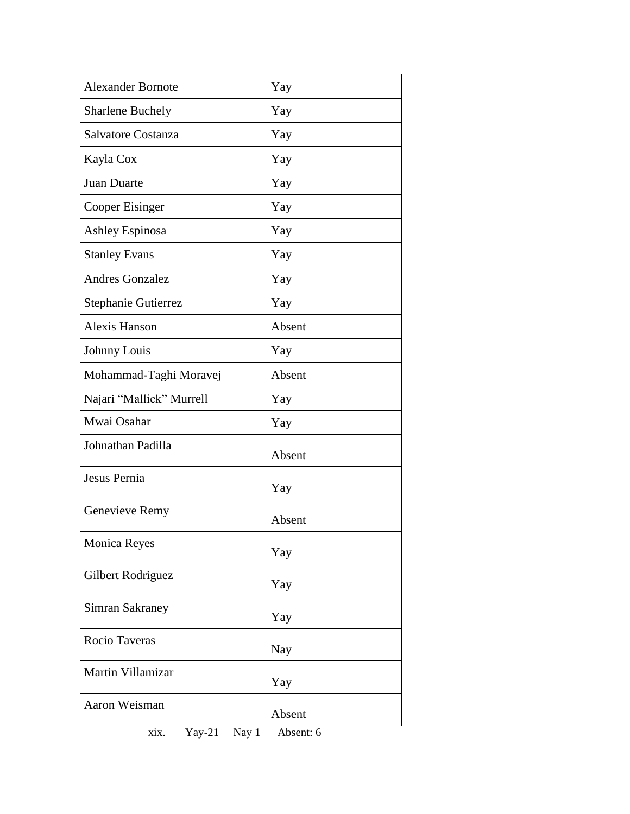| <b>Alexander Bornote</b> | Yay       |
|--------------------------|-----------|
| Sharlene Buchely         | Yay       |
| Salvatore Costanza       | Yay       |
| Kayla Cox                | Yay       |
| Juan Duarte              | Yay       |
| Cooper Eisinger          | Yay       |
| <b>Ashley Espinosa</b>   | Yay       |
| <b>Stanley Evans</b>     | Yay       |
| <b>Andres Gonzalez</b>   | Yay       |
| Stephanie Gutierrez      | Yay       |
| <b>Alexis Hanson</b>     | Absent    |
| Johnny Louis             | Yay       |
| Mohammad-Taghi Moravej   | Absent    |
| Najari "Malliek" Murrell | Yay       |
| Mwai Osahar              | Yay       |
| Johnathan Padilla        | Absent    |
| Jesus Pernia             | Yay       |
| Genevieve Remy           | Absent    |
| Monica Reyes             | Yay       |
| Gilbert Rodriguez        | Yay       |
| Simran Sakraney          | Yay       |
| Rocio Taveras            | Nay       |
| Martin Villamizar        | Yay       |
| Aaron Weisman            | Absent    |
| Yay-21<br>Nay 1<br>xix.  | Absent: 6 |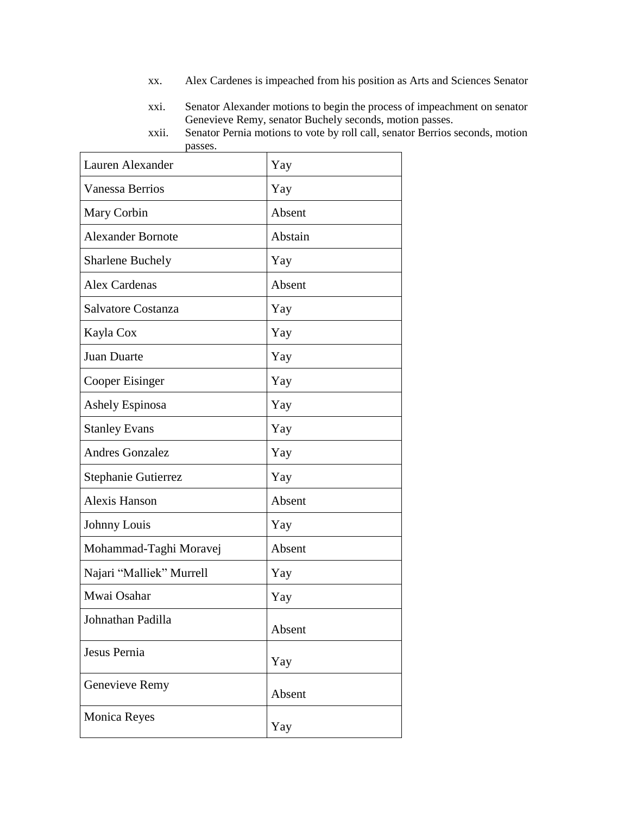- xx. Alex Cardenes is impeached from his position as Arts and Sciences Senator
- xxi. Senator Alexander motions to begin the process of impeachment on senator Genevieve Remy, senator Buchely seconds, motion passes.
- xxii. Senator Pernia motions to vote by roll call, senator Berrios seconds, motion passes.

| Lauren Alexander         | Yay     |
|--------------------------|---------|
| Vanessa Berrios          | Yay     |
| Mary Corbin              | Absent  |
| <b>Alexander Bornote</b> | Abstain |
| <b>Sharlene Buchely</b>  | Yay     |
| <b>Alex Cardenas</b>     | Absent  |
| Salvatore Costanza       | Yay     |
| Kayla Cox                | Yay     |
| <b>Juan Duarte</b>       | Yay     |
| Cooper Eisinger          | Yay     |
| <b>Ashely Espinosa</b>   | Yay     |
| <b>Stanley Evans</b>     | Yay     |
| <b>Andres Gonzalez</b>   | Yay     |
| Stephanie Gutierrez      | Yay     |
| <b>Alexis Hanson</b>     | Absent  |
| Johnny Louis             | Yay     |
| Mohammad-Taghi Moravej   | Absent  |
| Najari "Malliek" Murrell | Yay     |
| Mwai Osahar              | Yay     |
| Johnathan Padilla        | Absent  |
| Jesus Pernia             | Yay     |
| Genevieve Remy           | Absent  |
| <b>Monica Reyes</b>      | Yay     |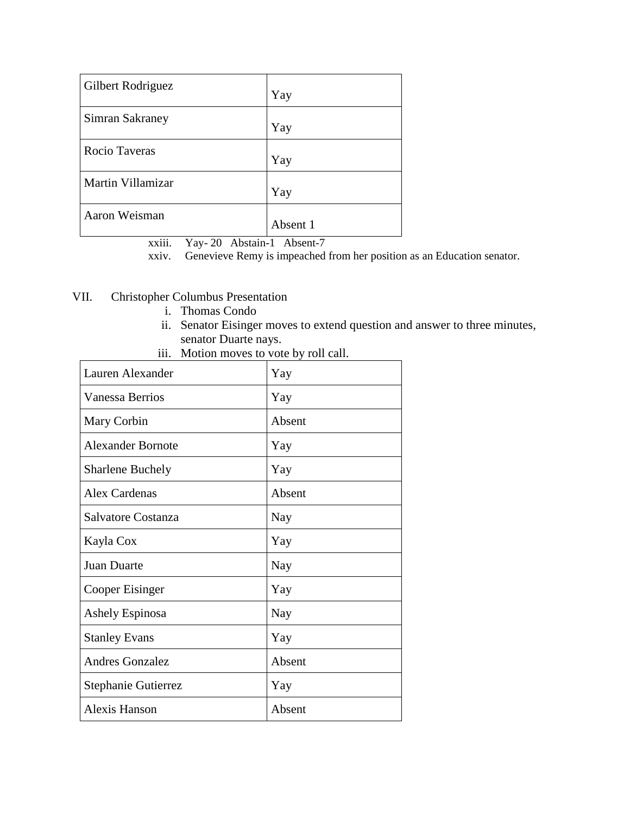| Gilbert Rodriguez | Yay      |
|-------------------|----------|
| Simran Sakraney   | Yay      |
| Rocio Taveras     | Yay      |
| Martin Villamizar | Yay      |
| Aaron Weisman     | Absent 1 |

xxiii. Yay- 20 Abstain-1 Absent-7

xxiv. Genevieve Remy is impeached from her position as an Education senator.

# VII. Christopher Columbus Presentation

- i. Thomas Condo
- ii. Senator Eisinger moves to extend question and answer to three minutes, senator Duarte nays.

iii. Motion moves to vote by roll call.

| Lauren Alexander         | Yay    |
|--------------------------|--------|
| Vanessa Berrios          | Yay    |
| Mary Corbin              | Absent |
| <b>Alexander Bornote</b> | Yay    |
| <b>Sharlene Buchely</b>  | Yay    |
| Alex Cardenas            | Absent |
| Salvatore Costanza       | Nay    |
| Kayla Cox                | Yay    |
| <b>Juan Duarte</b>       | Nay    |
| Cooper Eisinger          | Yay    |
| Ashely Espinosa          | Nay    |
| <b>Stanley Evans</b>     | Yay    |
| <b>Andres Gonzalez</b>   | Absent |
| Stephanie Gutierrez      | Yay    |
| <b>Alexis Hanson</b>     | Absent |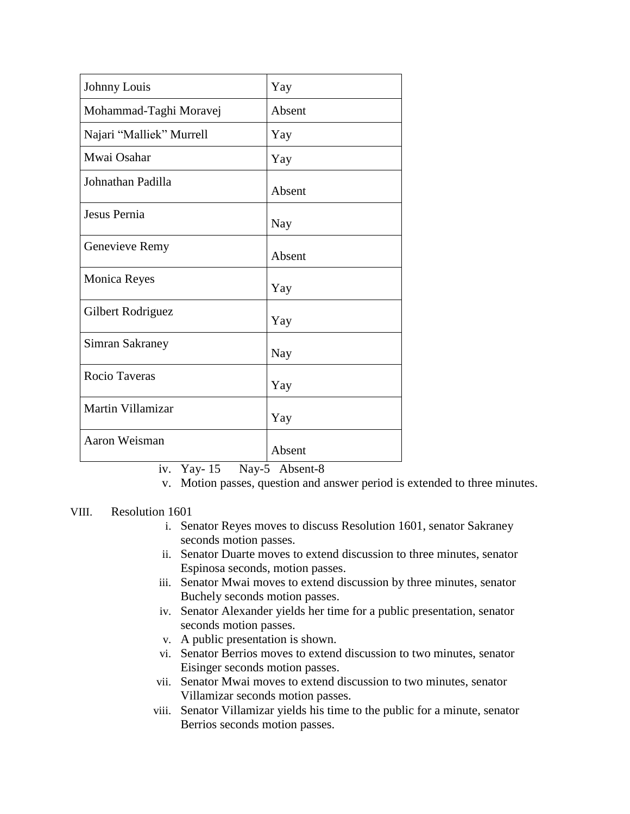| Johnny Louis             | Yay    |
|--------------------------|--------|
| Mohammad-Taghi Moravej   | Absent |
| Najari "Malliek" Murrell | Yay    |
| Mwai Osahar              | Yay    |
| Johnathan Padilla        | Absent |
| Jesus Pernia             | Nay    |
| Genevieve Remy           | Absent |
| <b>Monica Reyes</b>      | Yay    |
| Gilbert Rodriguez        | Yay    |
| Simran Sakraney          | Nay    |
| Rocio Taveras            | Yay    |
| Martin Villamizar        | Yay    |
| Aaron Weisman            | Absent |

iv. Yay- 15 Nay-5 Absent-8

v. Motion passes, question and answer period is extended to three minutes.

# VIII. Resolution 1601

- i. Senator Reyes moves to discuss Resolution 1601, senator Sakraney seconds motion passes.
- ii. Senator Duarte moves to extend discussion to three minutes, senator Espinosa seconds, motion passes.
- iii. Senator Mwai moves to extend discussion by three minutes, senator Buchely seconds motion passes.
- iv. Senator Alexander yields her time for a public presentation, senator seconds motion passes.
- v. A public presentation is shown.
- vi. Senator Berrios moves to extend discussion to two minutes, senator Eisinger seconds motion passes.
- vii. Senator Mwai moves to extend discussion to two minutes, senator Villamizar seconds motion passes.
- viii. Senator Villamizar yields his time to the public for a minute, senator Berrios seconds motion passes.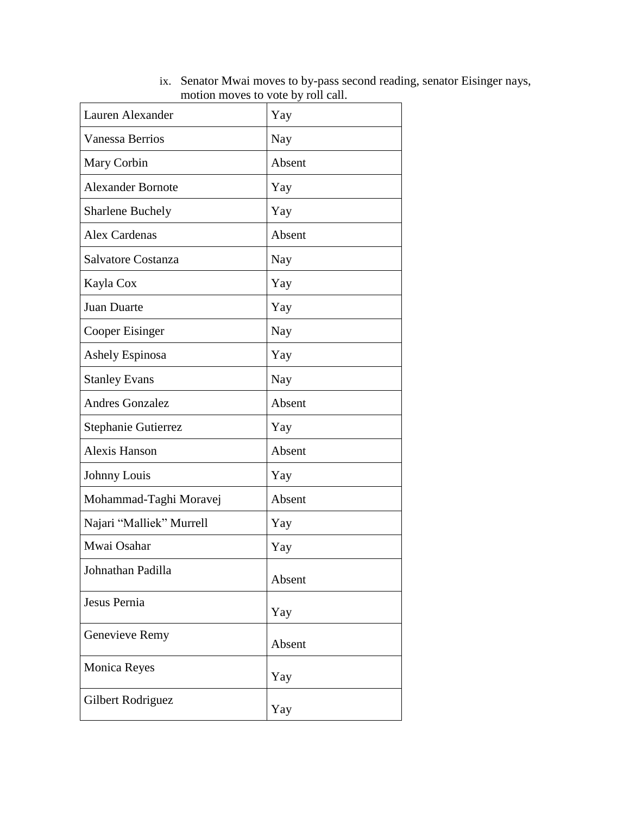| Lauren Alexander         | Yay    |
|--------------------------|--------|
| <b>Vanessa Berrios</b>   | Nay    |
| Mary Corbin              | Absent |
| <b>Alexander Bornote</b> | Yay    |
| <b>Sharlene Buchely</b>  | Yay    |
| <b>Alex Cardenas</b>     | Absent |
| Salvatore Costanza       | Nay    |
| Kayla Cox                | Yay    |
| Juan Duarte              | Yay    |
| Cooper Eisinger          | Nay    |
| Ashely Espinosa          | Yay    |
| <b>Stanley Evans</b>     | Nay    |
| <b>Andres Gonzalez</b>   | Absent |
| Stephanie Gutierrez      | Yay    |
| <b>Alexis Hanson</b>     | Absent |
| Johnny Louis             | Yay    |
| Mohammad-Taghi Moravej   | Absent |
| Najari "Malliek" Murrell | Yay    |
| Mwai Osahar              | Yay    |
| Johnathan Padilla        | Absent |
| Jesus Pernia             | Yay    |
| Genevieve Remy           | Absent |
| <b>Monica Reyes</b>      | Yay    |
| Gilbert Rodriguez        | Yay    |

ix. Senator Mwai moves to by-pass second reading, senator Eisinger nays, motion moves to vote by roll call.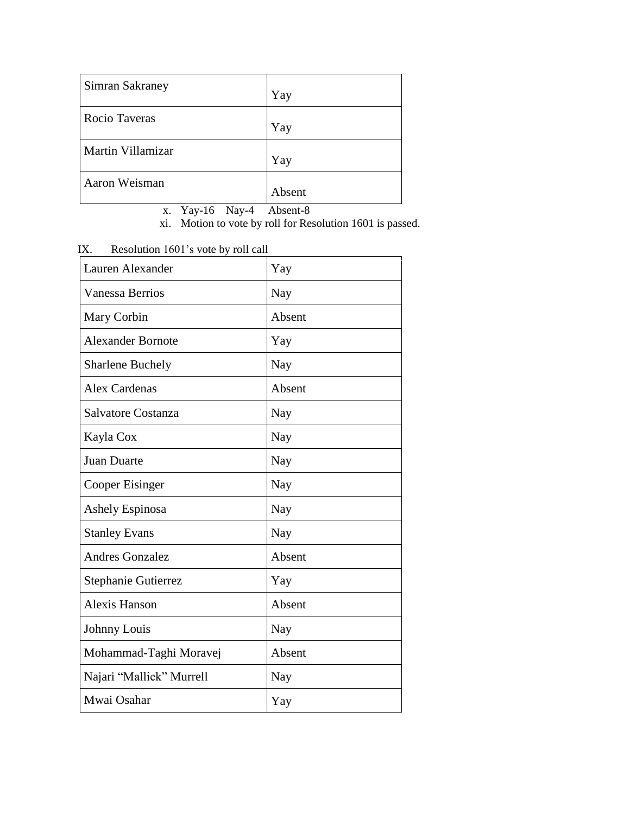| Simran Sakraney   | Yay    |
|-------------------|--------|
| Rocio Taveras     | Yay    |
| Martin Villamizar | Yay    |
| Aaron Weisman     | Absent |

x. Yay-16 Nay-4 Absent-8

xi. Motion to vote by roll for Resolution 1601 is passed.

| Resolution 1601's vote by roll call<br>IX. |        |
|--------------------------------------------|--------|
| Lauren Alexander                           | Yay    |
| <b>Vanessa Berrios</b>                     | Nay    |
| Mary Corbin                                | Absent |
| <b>Alexander Bornote</b>                   | Yay    |
| <b>Sharlene Buchely</b>                    | Nay    |
| <b>Alex Cardenas</b>                       | Absent |
| Salvatore Costanza                         | Nay    |
| Kayla Cox                                  | Nay    |
| <b>Juan Duarte</b>                         | Nay    |
| Cooper Eisinger                            | Nay    |
| <b>Ashely Espinosa</b>                     | Nay    |
| <b>Stanley Evans</b>                       | Nay    |
| <b>Andres Gonzalez</b>                     | Absent |
| Stephanie Gutierrez                        | Yay    |
| <b>Alexis Hanson</b>                       | Absent |
| Johnny Louis                               | Nay    |
| Mohammad-Taghi Moravej                     | Absent |
| Najari "Malliek" Murrell                   | Nay    |
| Mwai Osahar                                | Yay    |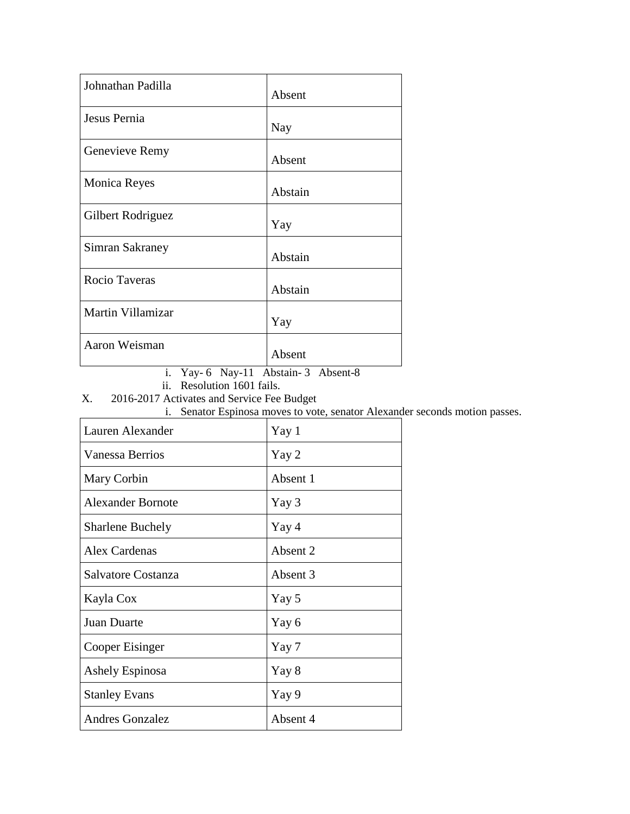| Johnathan Padilla   | Absent  |
|---------------------|---------|
| Jesus Pernia        | Nay     |
| Genevieve Remy      | Absent  |
| <b>Monica Reyes</b> | Abstain |
| Gilbert Rodriguez   | Yay     |
| Simran Sakraney     | Abstain |
| Rocio Taveras       | Abstain |
| Martin Villamizar   | Yay     |
| Aaron Weisman       | Absent  |

i. Yay- 6 Nay-11 Abstain- 3 Absent-8

ii. Resolution 1601 fails.

X. 2016-2017 Activates and Service Fee Budget

i. Senator Espinosa moves to vote, senator Alexander seconds motion passes.

| Lauren Alexander         | Yay 1    |
|--------------------------|----------|
| Vanessa Berrios          | Yay 2    |
| Mary Corbin              | Absent 1 |
| <b>Alexander Bornote</b> | Yay 3    |
| <b>Sharlene Buchely</b>  | Yay 4    |
| Alex Cardenas            | Absent 2 |
| Salvatore Costanza       | Absent 3 |
| Kayla Cox                | Yay 5    |
| Juan Duarte              | Yay 6    |
| Cooper Eisinger          | Yay 7    |
| Ashely Espinosa          | Yay 8    |
| <b>Stanley Evans</b>     | Yay 9    |
| <b>Andres Gonzalez</b>   | Absent 4 |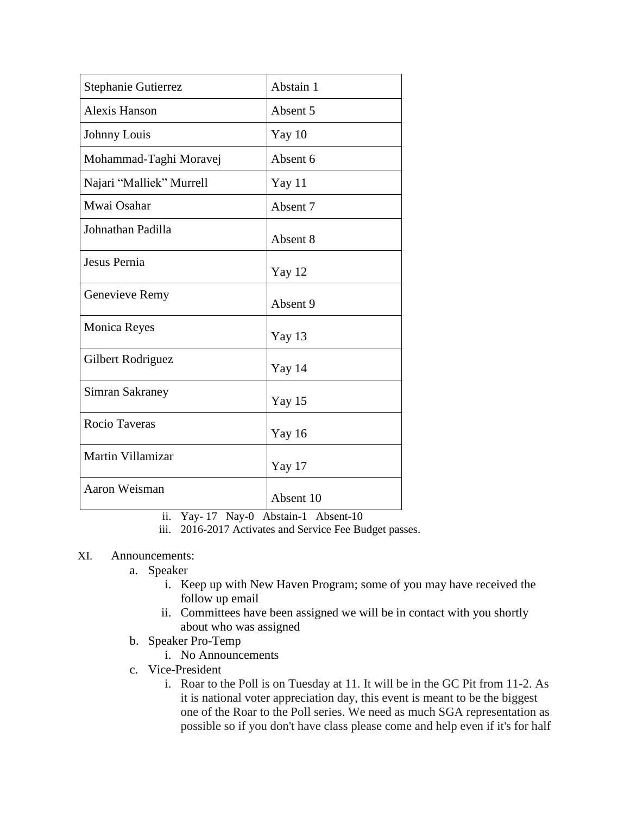| Stephanie Gutierrez      | Abstain 1 |
|--------------------------|-----------|
| Alexis Hanson            | Absent 5  |
| Johnny Louis             | Yay $10$  |
| Mohammad-Taghi Moravej   | Absent 6  |
| Najari "Malliek" Murrell | Yay 11    |
| Mwai Osahar              | Absent 7  |
| Johnathan Padilla        | Absent 8  |
| Jesus Pernia             | Yay 12    |
| Genevieve Remy           | Absent 9  |
| <b>Monica Reyes</b>      | Yay 13    |
| Gilbert Rodriguez        | Yay 14    |
| Simran Sakraney          | Yay 15    |
| <b>Rocio Taveras</b>     | Yay 16    |
| Martin Villamizar        | Yay 17    |
| Aaron Weisman            | Absent 10 |

ii. Yay- 17 Nay-0 Abstain-1 Absent-10

iii. 2016-2017 Activates and Service Fee Budget passes.

### XI. Announcements:

- a. Speaker
	- i. Keep up with New Haven Program; some of you may have received the follow up email
	- ii. Committees have been assigned we will be in contact with you shortly about who was assigned
- b. Speaker Pro-Temp
	- i. No Announcements
- c. Vice-President
	- i. Roar to the Poll is on Tuesday at 11. It will be in the GC Pit from 11-2. As it is national voter appreciation day, this event is meant to be the biggest one of the Roar to the Poll series. We need as much SGA representation as possible so if you don't have class please come and help even if it's for half